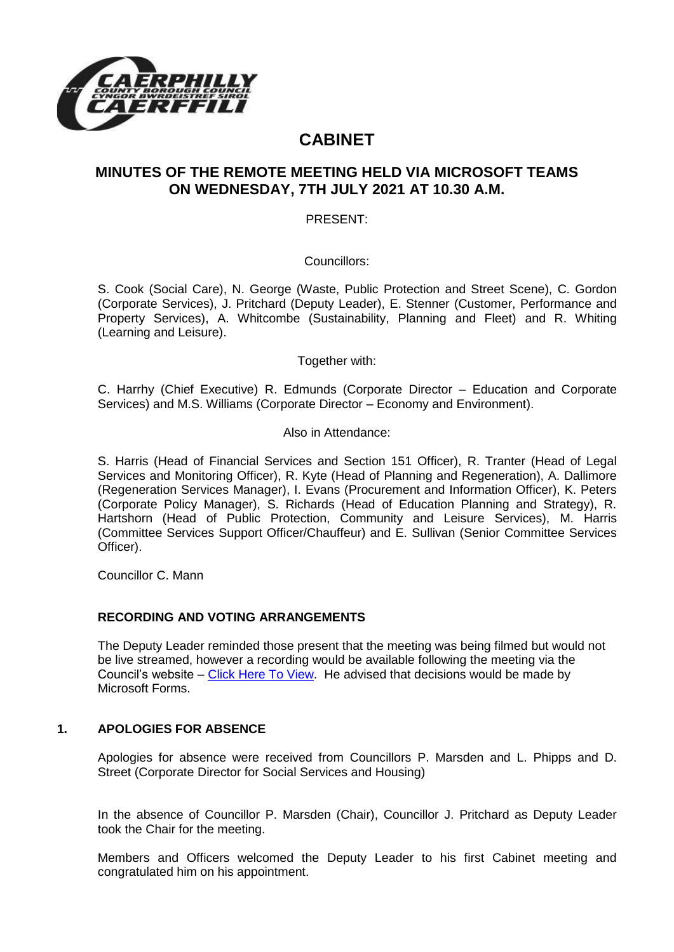

# **CABINET**

# **MINUTES OF THE REMOTE MEETING HELD VIA MICROSOFT TEAMS ON WEDNESDAY, 7TH JULY 2021 AT 10.30 A.M.**

PRESENT:

Councillors:

S. Cook (Social Care), N. George (Waste, Public Protection and Street Scene), C. Gordon (Corporate Services), J. Pritchard (Deputy Leader), E. Stenner (Customer, Performance and Property Services), A. Whitcombe (Sustainability, Planning and Fleet) and R. Whiting (Learning and Leisure).

Together with:

C. Harrhy (Chief Executive) R. Edmunds (Corporate Director – Education and Corporate Services) and M.S. Williams (Corporate Director – Economy and Environment).

Also in Attendance:

S. Harris (Head of Financial Services and Section 151 Officer), R. Tranter (Head of Legal Services and Monitoring Officer), R. Kyte (Head of Planning and Regeneration), A. Dallimore (Regeneration Services Manager), I. Evans (Procurement and Information Officer), K. Peters (Corporate Policy Manager), S. Richards (Head of Education Planning and Strategy), R. Hartshorn (Head of Public Protection, Community and Leisure Services), M. Harris (Committee Services Support Officer/Chauffeur) and E. Sullivan (Senior Committee Services Officer).

Councillor C. Mann

### **RECORDING AND VOTING ARRANGEMENTS**

The Deputy Leader reminded those present that the meeting was being filmed but would not be live streamed, however a recording would be available following the meeting via the Council's website – [Click Here To View.](https://www.caerphilly.gov.uk/My-Council/Meetings,-agendas,-minutes-and-reports/Council-meetings) He advised that decisions would be made by Microsoft Forms.

#### **1. APOLOGIES FOR ABSENCE**

Apologies for absence were received from Councillors P. Marsden and L. Phipps and D. Street (Corporate Director for Social Services and Housing)

In the absence of Councillor P. Marsden (Chair), Councillor J. Pritchard as Deputy Leader took the Chair for the meeting.

Members and Officers welcomed the Deputy Leader to his first Cabinet meeting and congratulated him on his appointment.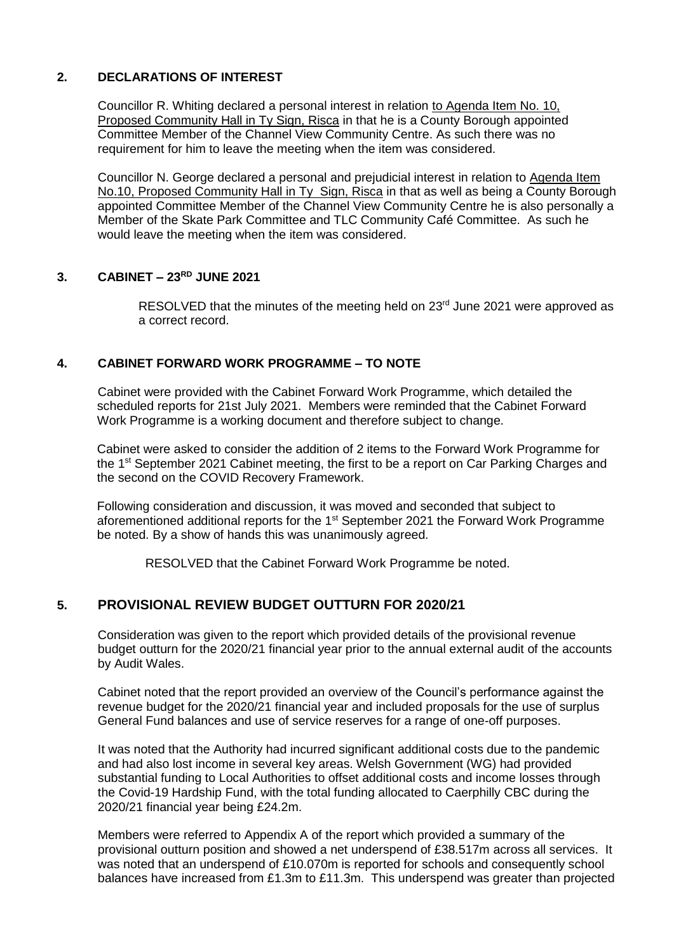#### **2. DECLARATIONS OF INTEREST**

Councillor R. Whiting declared a personal interest in relation to Agenda Item No. 10, Proposed Community Hall in Ty Sign, Risca in that he is a County Borough appointed Committee Member of the Channel View Community Centre. As such there was no requirement for him to leave the meeting when the item was considered.

Councillor N. George declared a personal and prejudicial interest in relation to Agenda Item No.10, Proposed Community Hall in Ty Sign, Risca in that as well as being a County Borough appointed Committee Member of the Channel View Community Centre he is also personally a Member of the Skate Park Committee and TLC Community Café Committee. As such he would leave the meeting when the item was considered.

### **3. CABINET – 23RD JUNE 2021**

RESOLVED that the minutes of the meeting held on 23<sup>rd</sup> June 2021 were approved as a correct record.

#### **4. CABINET FORWARD WORK PROGRAMME – TO NOTE**

Cabinet were provided with the Cabinet Forward Work Programme, which detailed the scheduled reports for 21st July 2021. Members were reminded that the Cabinet Forward Work Programme is a working document and therefore subject to change.

Cabinet were asked to consider the addition of 2 items to the Forward Work Programme for the 1<sup>st</sup> September 2021 Cabinet meeting, the first to be a report on Car Parking Charges and the second on the COVID Recovery Framework.

Following consideration and discussion, it was moved and seconded that subject to aforementioned additional reports for the 1<sup>st</sup> September 2021 the Forward Work Programme be noted. By a show of hands this was unanimously agreed.

RESOLVED that the Cabinet Forward Work Programme be noted.

# **5. PROVISIONAL REVIEW BUDGET OUTTURN FOR 2020/21**

Consideration was given to the report which provided details of the provisional revenue budget outturn for the 2020/21 financial year prior to the annual external audit of the accounts by Audit Wales.

Cabinet noted that the report provided an overview of the Council's performance against the revenue budget for the 2020/21 financial year and included proposals for the use of surplus General Fund balances and use of service reserves for a range of one-off purposes.

It was noted that the Authority had incurred significant additional costs due to the pandemic and had also lost income in several key areas. Welsh Government (WG) had provided substantial funding to Local Authorities to offset additional costs and income losses through the Covid-19 Hardship Fund, with the total funding allocated to Caerphilly CBC during the 2020/21 financial year being £24.2m.

Members were referred to Appendix A of the report which provided a summary of the provisional outturn position and showed a net underspend of £38.517m across all services. It was noted that an underspend of £10.070m is reported for schools and consequently school balances have increased from £1.3m to £11.3m. This underspend was greater than projected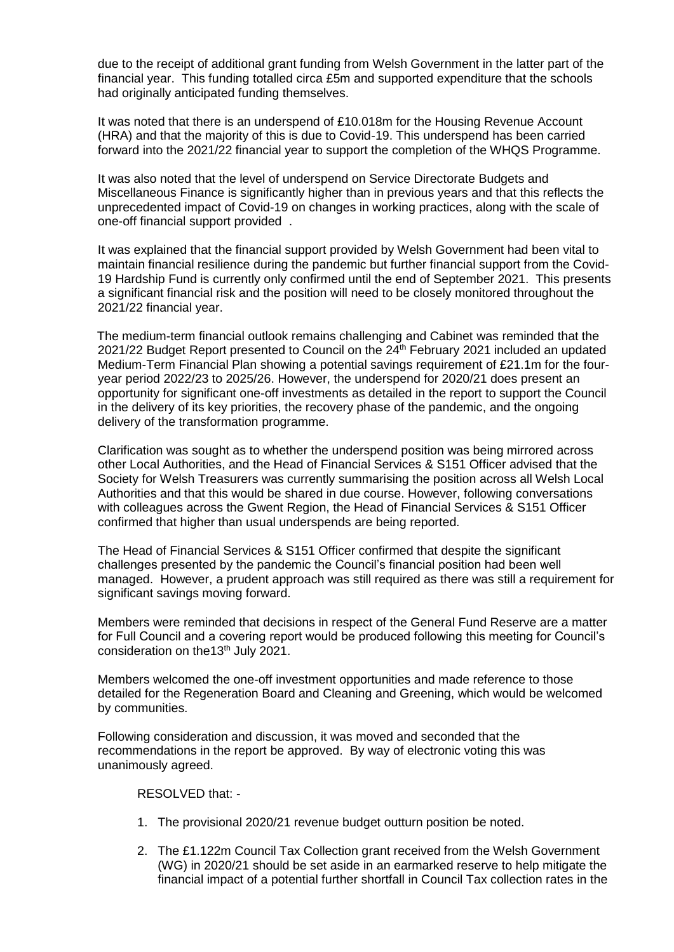due to the receipt of additional grant funding from Welsh Government in the latter part of the financial year. This funding totalled circa £5m and supported expenditure that the schools had originally anticipated funding themselves.

It was noted that there is an underspend of £10.018m for the Housing Revenue Account (HRA) and that the majority of this is due to Covid-19. This underspend has been carried forward into the 2021/22 financial year to support the completion of the WHQS Programme.

It was also noted that the level of underspend on Service Directorate Budgets and Miscellaneous Finance is significantly higher than in previous years and that this reflects the unprecedented impact of Covid-19 on changes in working practices, along with the scale of one-off financial support provided .

It was explained that the financial support provided by Welsh Government had been vital to maintain financial resilience during the pandemic but further financial support from the Covid-19 Hardship Fund is currently only confirmed until the end of September 2021. This presents a significant financial risk and the position will need to be closely monitored throughout the 2021/22 financial year.

The medium-term financial outlook remains challenging and Cabinet was reminded that the 2021/22 Budget Report presented to Council on the 24<sup>th</sup> February 2021 included an updated Medium-Term Financial Plan showing a potential savings requirement of £21.1m for the fouryear period 2022/23 to 2025/26. However, the underspend for 2020/21 does present an opportunity for significant one-off investments as detailed in the report to support the Council in the delivery of its key priorities, the recovery phase of the pandemic, and the ongoing delivery of the transformation programme.

Clarification was sought as to whether the underspend position was being mirrored across other Local Authorities, and the Head of Financial Services & S151 Officer advised that the Society for Welsh Treasurers was currently summarising the position across all Welsh Local Authorities and that this would be shared in due course. However, following conversations with colleagues across the Gwent Region, the Head of Financial Services & S151 Officer confirmed that higher than usual underspends are being reported.

The Head of Financial Services & S151 Officer confirmed that despite the significant challenges presented by the pandemic the Council's financial position had been well managed. However, a prudent approach was still required as there was still a requirement for significant savings moving forward.

Members were reminded that decisions in respect of the General Fund Reserve are a matter for Full Council and a covering report would be produced following this meeting for Council's consideration on the13th July 2021.

Members welcomed the one-off investment opportunities and made reference to those detailed for the Regeneration Board and Cleaning and Greening, which would be welcomed by communities.

Following consideration and discussion, it was moved and seconded that the recommendations in the report be approved. By way of electronic voting this was unanimously agreed.

#### RESOLVED that: -

- 1. The provisional 2020/21 revenue budget outturn position be noted.
- 2. The £1.122m Council Tax Collection grant received from the Welsh Government (WG) in 2020/21 should be set aside in an earmarked reserve to help mitigate the financial impact of a potential further shortfall in Council Tax collection rates in the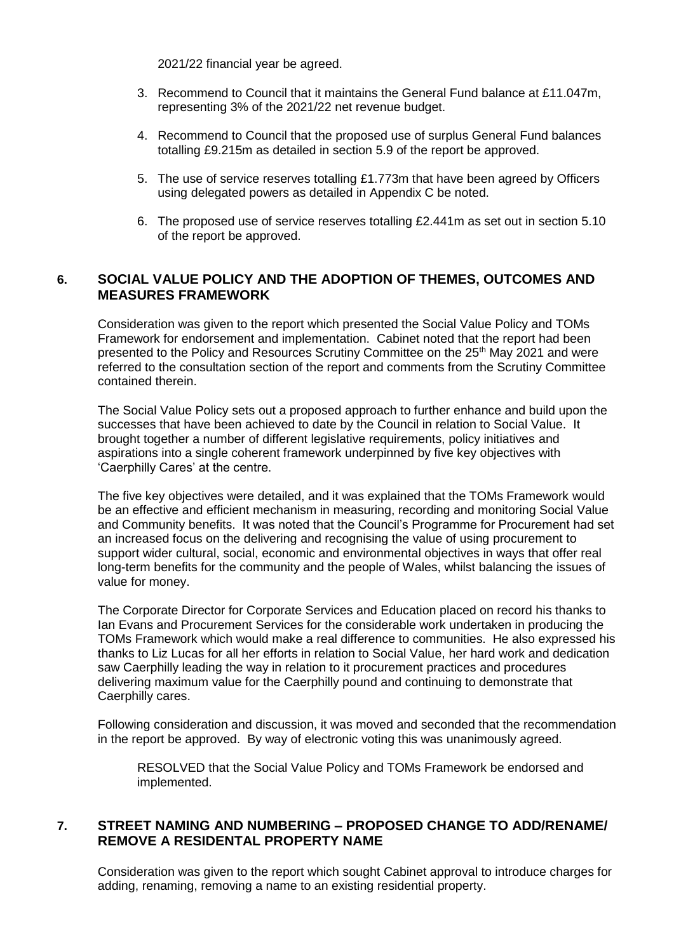2021/22 financial year be agreed.

- 3. Recommend to Council that it maintains the General Fund balance at £11.047m, representing 3% of the 2021/22 net revenue budget.
- 4. Recommend to Council that the proposed use of surplus General Fund balances totalling £9.215m as detailed in section 5.9 of the report be approved.
- 5. The use of service reserves totalling £1.773m that have been agreed by Officers using delegated powers as detailed in Appendix C be noted.
- 6. The proposed use of service reserves totalling £2.441m as set out in section 5.10 of the report be approved.

# **6. SOCIAL VALUE POLICY AND THE ADOPTION OF THEMES, OUTCOMES AND MEASURES FRAMEWORK**

Consideration was given to the report which presented the Social Value Policy and TOMs Framework for endorsement and implementation. Cabinet noted that the report had been presented to the Policy and Resources Scrutiny Committee on the 25th May 2021 and were referred to the consultation section of the report and comments from the Scrutiny Committee contained therein.

The Social Value Policy sets out a proposed approach to further enhance and build upon the successes that have been achieved to date by the Council in relation to Social Value. It brought together a number of different legislative requirements, policy initiatives and aspirations into a single coherent framework underpinned by five key objectives with 'Caerphilly Cares' at the centre.

The five key objectives were detailed, and it was explained that the TOMs Framework would be an effective and efficient mechanism in measuring, recording and monitoring Social Value and Community benefits. It was noted that the Council's Programme for Procurement had set an increased focus on the delivering and recognising the value of using procurement to support wider cultural, social, economic and environmental objectives in ways that offer real long-term benefits for the community and the people of Wales, whilst balancing the issues of value for money.

The Corporate Director for Corporate Services and Education placed on record his thanks to Ian Evans and Procurement Services for the considerable work undertaken in producing the TOMs Framework which would make a real difference to communities. He also expressed his thanks to Liz Lucas for all her efforts in relation to Social Value, her hard work and dedication saw Caerphilly leading the way in relation to it procurement practices and procedures delivering maximum value for the Caerphilly pound and continuing to demonstrate that Caerphilly cares.

Following consideration and discussion, it was moved and seconded that the recommendation in the report be approved. By way of electronic voting this was unanimously agreed.

RESOLVED that the Social Value Policy and TOMs Framework be endorsed and implemented.

# **7. STREET NAMING AND NUMBERING – PROPOSED CHANGE TO ADD/RENAME/ REMOVE A RESIDENTAL PROPERTY NAME**

Consideration was given to the report which sought Cabinet approval to introduce charges for adding, renaming, removing a name to an existing residential property.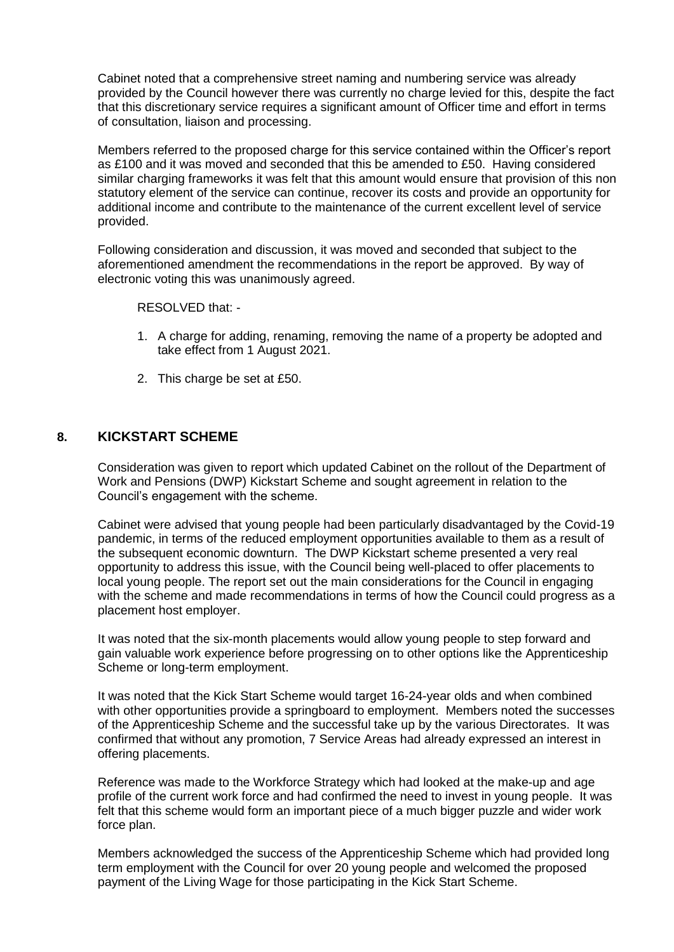Cabinet noted that a comprehensive street naming and numbering service was already provided by the Council however there was currently no charge levied for this, despite the fact that this discretionary service requires a significant amount of Officer time and effort in terms of consultation, liaison and processing.

Members referred to the proposed charge for this service contained within the Officer's report as £100 and it was moved and seconded that this be amended to £50. Having considered similar charging frameworks it was felt that this amount would ensure that provision of this non statutory element of the service can continue, recover its costs and provide an opportunity for additional income and contribute to the maintenance of the current excellent level of service provided.

Following consideration and discussion, it was moved and seconded that subject to the aforementioned amendment the recommendations in the report be approved. By way of electronic voting this was unanimously agreed.

RESOLVED that: -

- 1. A charge for adding, renaming, removing the name of a property be adopted and take effect from 1 August 2021.
- 2. This charge be set at £50.

#### **8. KICKSTART SCHEME**

Consideration was given to report which updated Cabinet on the rollout of the Department of Work and Pensions (DWP) Kickstart Scheme and sought agreement in relation to the Council's engagement with the scheme.

Cabinet were advised that young people had been particularly disadvantaged by the Covid-19 pandemic, in terms of the reduced employment opportunities available to them as a result of the subsequent economic downturn. The DWP Kickstart scheme presented a very real opportunity to address this issue, with the Council being well-placed to offer placements to local young people. The report set out the main considerations for the Council in engaging with the scheme and made recommendations in terms of how the Council could progress as a placement host employer.

It was noted that the six-month placements would allow young people to step forward and gain valuable work experience before progressing on to other options like the Apprenticeship Scheme or long-term employment.

It was noted that the Kick Start Scheme would target 16-24-year olds and when combined with other opportunities provide a springboard to employment. Members noted the successes of the Apprenticeship Scheme and the successful take up by the various Directorates. It was confirmed that without any promotion, 7 Service Areas had already expressed an interest in offering placements.

Reference was made to the Workforce Strategy which had looked at the make-up and age profile of the current work force and had confirmed the need to invest in young people. It was felt that this scheme would form an important piece of a much bigger puzzle and wider work force plan.

Members acknowledged the success of the Apprenticeship Scheme which had provided long term employment with the Council for over 20 young people and welcomed the proposed payment of the Living Wage for those participating in the Kick Start Scheme.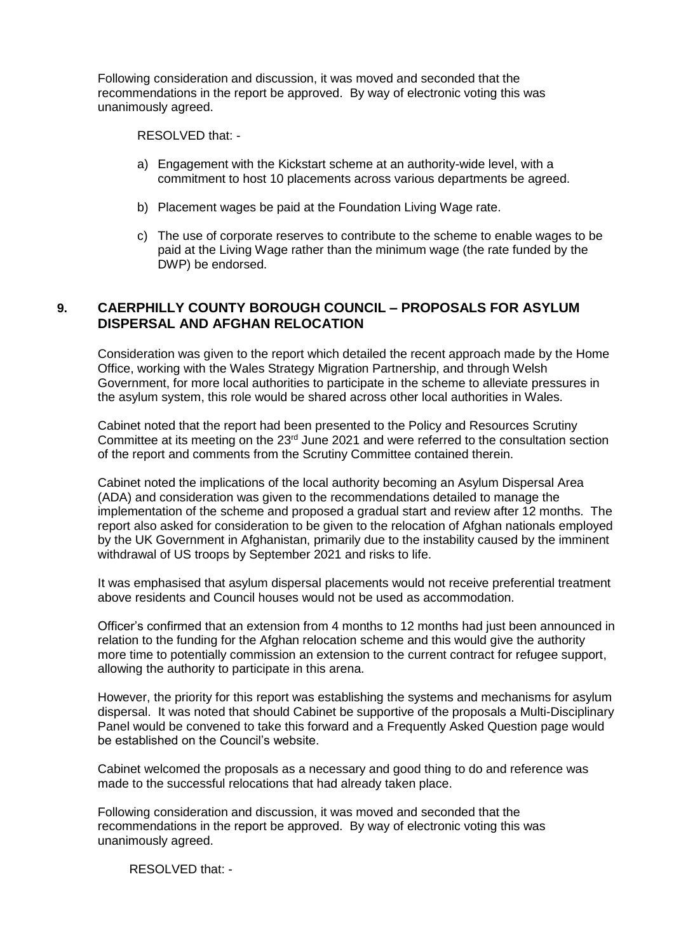Following consideration and discussion, it was moved and seconded that the recommendations in the report be approved. By way of electronic voting this was unanimously agreed.

RESOLVED that: -

- a) Engagement with the Kickstart scheme at an authority-wide level, with a commitment to host 10 placements across various departments be agreed.
- b) Placement wages be paid at the Foundation Living Wage rate.
- c) The use of corporate reserves to contribute to the scheme to enable wages to be paid at the Living Wage rather than the minimum wage (the rate funded by the DWP) be endorsed.

# **9. CAERPHILLY COUNTY BOROUGH COUNCIL – PROPOSALS FOR ASYLUM DISPERSAL AND AFGHAN RELOCATION**

Consideration was given to the report which detailed the recent approach made by the Home Office, working with the Wales Strategy Migration Partnership, and through Welsh Government, for more local authorities to participate in the scheme to alleviate pressures in the asylum system, this role would be shared across other local authorities in Wales.

Cabinet noted that the report had been presented to the Policy and Resources Scrutiny Committee at its meeting on the 23rd June 2021 and were referred to the consultation section of the report and comments from the Scrutiny Committee contained therein.

Cabinet noted the implications of the local authority becoming an Asylum Dispersal Area (ADA) and consideration was given to the recommendations detailed to manage the implementation of the scheme and proposed a gradual start and review after 12 months. The report also asked for consideration to be given to the relocation of Afghan nationals employed by the UK Government in Afghanistan, primarily due to the instability caused by the imminent withdrawal of US troops by September 2021 and risks to life.

It was emphasised that asylum dispersal placements would not receive preferential treatment above residents and Council houses would not be used as accommodation.

Officer's confirmed that an extension from 4 months to 12 months had just been announced in relation to the funding for the Afghan relocation scheme and this would give the authority more time to potentially commission an extension to the current contract for refugee support, allowing the authority to participate in this arena.

However, the priority for this report was establishing the systems and mechanisms for asylum dispersal. It was noted that should Cabinet be supportive of the proposals a Multi-Disciplinary Panel would be convened to take this forward and a Frequently Asked Question page would be established on the Council's website.

Cabinet welcomed the proposals as a necessary and good thing to do and reference was made to the successful relocations that had already taken place.

Following consideration and discussion, it was moved and seconded that the recommendations in the report be approved. By way of electronic voting this was unanimously agreed.

RESOLVED that: -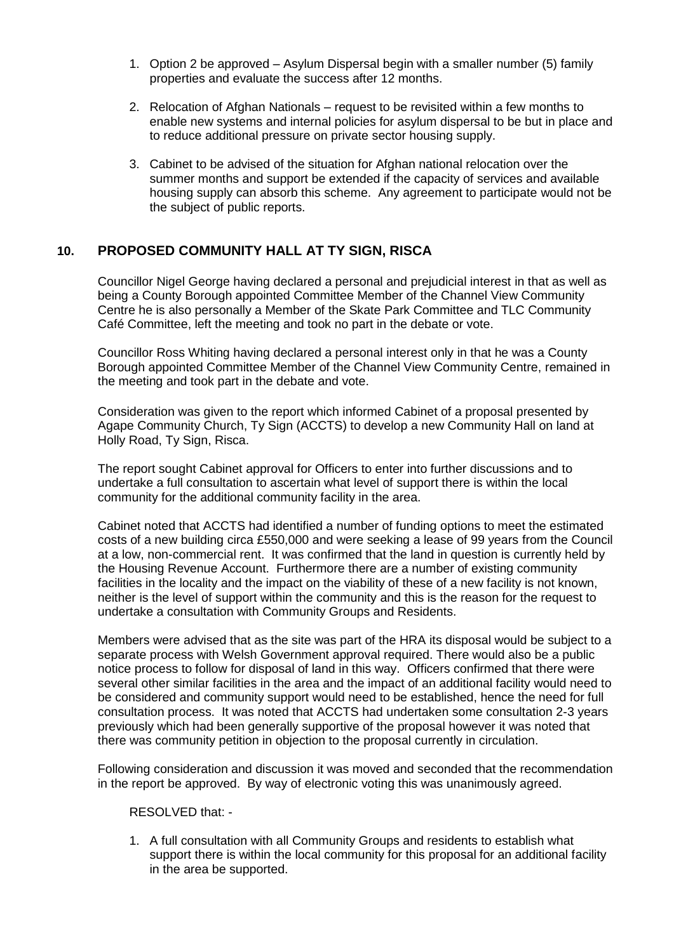- 1. Option 2 be approved Asylum Dispersal begin with a smaller number (5) family properties and evaluate the success after 12 months.
- 2. Relocation of Afghan Nationals request to be revisited within a few months to enable new systems and internal policies for asylum dispersal to be but in place and to reduce additional pressure on private sector housing supply.
- 3. Cabinet to be advised of the situation for Afghan national relocation over the summer months and support be extended if the capacity of services and available housing supply can absorb this scheme. Any agreement to participate would not be the subject of public reports.

# **10. PROPOSED COMMUNITY HALL AT TY SIGN, RISCA**

Councillor Nigel George having declared a personal and prejudicial interest in that as well as being a County Borough appointed Committee Member of the Channel View Community Centre he is also personally a Member of the Skate Park Committee and TLC Community Café Committee, left the meeting and took no part in the debate or vote.

Councillor Ross Whiting having declared a personal interest only in that he was a County Borough appointed Committee Member of the Channel View Community Centre, remained in the meeting and took part in the debate and vote.

Consideration was given to the report which informed Cabinet of a proposal presented by Agape Community Church, Ty Sign (ACCTS) to develop a new Community Hall on land at Holly Road, Ty Sign, Risca.

The report sought Cabinet approval for Officers to enter into further discussions and to undertake a full consultation to ascertain what level of support there is within the local community for the additional community facility in the area.

Cabinet noted that ACCTS had identified a number of funding options to meet the estimated costs of a new building circa £550,000 and were seeking a lease of 99 years from the Council at a low, non-commercial rent. It was confirmed that the land in question is currently held by the Housing Revenue Account. Furthermore there are a number of existing community facilities in the locality and the impact on the viability of these of a new facility is not known, neither is the level of support within the community and this is the reason for the request to undertake a consultation with Community Groups and Residents.

Members were advised that as the site was part of the HRA its disposal would be subject to a separate process with Welsh Government approval required. There would also be a public notice process to follow for disposal of land in this way. Officers confirmed that there were several other similar facilities in the area and the impact of an additional facility would need to be considered and community support would need to be established, hence the need for full consultation process. It was noted that ACCTS had undertaken some consultation 2-3 years previously which had been generally supportive of the proposal however it was noted that there was community petition in objection to the proposal currently in circulation.

Following consideration and discussion it was moved and seconded that the recommendation in the report be approved. By way of electronic voting this was unanimously agreed.

RESOLVED that: -

1. A full consultation with all Community Groups and residents to establish what support there is within the local community for this proposal for an additional facility in the area be supported.